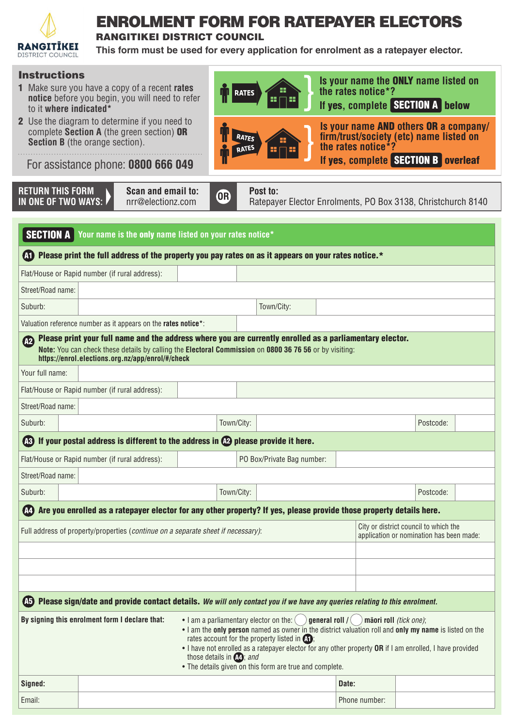

## ENROLMENT FORM FOR RATEPAYER ELECTORS

RANGITIKEI DISTRICT COUNCIL

**This form must be used for every application for enrolment as a ratepayer elector.**

| <b>Instructions</b><br>to it where indicated*                                                                                                                                                                                                                                                                                                                                                                                                                                                                                         | <b>1</b> Make sure you have a copy of a recent <b>rates</b><br>notice before you begin, you will need to refer<br>2 Use the diagram to determine if you need to<br>complete Section A (the green section) OR<br><b>Section B</b> (the orange section).<br>For assistance phone: <b>0800 666 049</b> |            | <b>RATES</b><br>RATES      | the rates notice*?<br>the rates notice $*$ ? | Is your name the ONLY name listed on<br>If yes, complete SECTION A below<br>Is your name AND others OR a company/<br>firm/trust/society (etc) name listed on<br>If yes, complete SECTION B overleaf |  |  |  |  |  |  |
|---------------------------------------------------------------------------------------------------------------------------------------------------------------------------------------------------------------------------------------------------------------------------------------------------------------------------------------------------------------------------------------------------------------------------------------------------------------------------------------------------------------------------------------|-----------------------------------------------------------------------------------------------------------------------------------------------------------------------------------------------------------------------------------------------------------------------------------------------------|------------|----------------------------|----------------------------------------------|-----------------------------------------------------------------------------------------------------------------------------------------------------------------------------------------------------|--|--|--|--|--|--|
| <b>RETURN THIS FORM</b><br>IN ONE OF TWO WAYS:                                                                                                                                                                                                                                                                                                                                                                                                                                                                                        | Scan and email to:<br>nrr@electionz.com                                                                                                                                                                                                                                                             | <b>OR</b>  | Post to:                   |                                              | Ratepayer Elector Enrolments, PO Box 3138, Christchurch 8140                                                                                                                                        |  |  |  |  |  |  |
| <b>SECTION A</b><br>Your name is the only name listed on your rates notice*<br>The Please print the full address of the property you pay rates on as it appears on your rates notice.*                                                                                                                                                                                                                                                                                                                                                |                                                                                                                                                                                                                                                                                                     |            |                            |                                              |                                                                                                                                                                                                     |  |  |  |  |  |  |
|                                                                                                                                                                                                                                                                                                                                                                                                                                                                                                                                       | Flat/House or Rapid number (if rural address):                                                                                                                                                                                                                                                      |            |                            |                                              |                                                                                                                                                                                                     |  |  |  |  |  |  |
| Street/Road name:                                                                                                                                                                                                                                                                                                                                                                                                                                                                                                                     |                                                                                                                                                                                                                                                                                                     |            |                            |                                              |                                                                                                                                                                                                     |  |  |  |  |  |  |
| Suburb:                                                                                                                                                                                                                                                                                                                                                                                                                                                                                                                               |                                                                                                                                                                                                                                                                                                     |            | Town/City:                 |                                              |                                                                                                                                                                                                     |  |  |  |  |  |  |
|                                                                                                                                                                                                                                                                                                                                                                                                                                                                                                                                       | Valuation reference number as it appears on the rates notice*:                                                                                                                                                                                                                                      |            |                            |                                              |                                                                                                                                                                                                     |  |  |  |  |  |  |
| Please print your full name and the address where you are currently enrolled as a parliamentary elector.<br>$\Omega$<br>Note: You can check these details by calling the Electoral Commission on 0800 36 76 56 or by visiting:<br>https://enrol.elections.org.nz/app/enrol/#/check                                                                                                                                                                                                                                                    |                                                                                                                                                                                                                                                                                                     |            |                            |                                              |                                                                                                                                                                                                     |  |  |  |  |  |  |
| Your full name:                                                                                                                                                                                                                                                                                                                                                                                                                                                                                                                       |                                                                                                                                                                                                                                                                                                     |            |                            |                                              |                                                                                                                                                                                                     |  |  |  |  |  |  |
|                                                                                                                                                                                                                                                                                                                                                                                                                                                                                                                                       | Flat/House or Rapid number (if rural address):                                                                                                                                                                                                                                                      |            |                            |                                              |                                                                                                                                                                                                     |  |  |  |  |  |  |
| Street/Road name:                                                                                                                                                                                                                                                                                                                                                                                                                                                                                                                     |                                                                                                                                                                                                                                                                                                     |            |                            |                                              |                                                                                                                                                                                                     |  |  |  |  |  |  |
| Suburb:                                                                                                                                                                                                                                                                                                                                                                                                                                                                                                                               |                                                                                                                                                                                                                                                                                                     | Town/City: |                            |                                              | Postcode:                                                                                                                                                                                           |  |  |  |  |  |  |
|                                                                                                                                                                                                                                                                                                                                                                                                                                                                                                                                       | <b>As If your postal address is different to the address in <b>AP</b> please provide it here.</b>                                                                                                                                                                                                   |            |                            |                                              |                                                                                                                                                                                                     |  |  |  |  |  |  |
|                                                                                                                                                                                                                                                                                                                                                                                                                                                                                                                                       | Flat/House or Rapid number (if rural address):                                                                                                                                                                                                                                                      |            | PO Box/Private Bag number: |                                              |                                                                                                                                                                                                     |  |  |  |  |  |  |
| Street/Road name:                                                                                                                                                                                                                                                                                                                                                                                                                                                                                                                     |                                                                                                                                                                                                                                                                                                     |            |                            |                                              |                                                                                                                                                                                                     |  |  |  |  |  |  |
| Suburb:                                                                                                                                                                                                                                                                                                                                                                                                                                                                                                                               |                                                                                                                                                                                                                                                                                                     | Town/City: |                            |                                              | Postcode:                                                                                                                                                                                           |  |  |  |  |  |  |
|                                                                                                                                                                                                                                                                                                                                                                                                                                                                                                                                       | <b>(A)</b> Are you enrolled as a ratepayer elector for any other property? If yes, please provide those property details here.                                                                                                                                                                      |            |                            |                                              |                                                                                                                                                                                                     |  |  |  |  |  |  |
|                                                                                                                                                                                                                                                                                                                                                                                                                                                                                                                                       | Full address of property/properties (continue on a separate sheet if necessary):                                                                                                                                                                                                                    |            |                            |                                              | City or district council to which the<br>application or nomination has been made:                                                                                                                   |  |  |  |  |  |  |
| <b>A5</b>                                                                                                                                                                                                                                                                                                                                                                                                                                                                                                                             | Please sign/date and provide contact details. We will only contact you if we have any queries relating to this enrolment.                                                                                                                                                                           |            |                            |                                              |                                                                                                                                                                                                     |  |  |  |  |  |  |
| By signing this enrolment form I declare that:<br>• I am a parliamentary elector on the: (<br>general roll / $($<br>māori roll (tick one);<br>. I am the only person named as owner in the district valuation roll and only my name is listed on the<br>rates account for the property listed in $\Omega$<br>• I have not enrolled as a ratepayer elector for any other property OR if I am enrolled, I have provided<br>those details in $(A2)$ ; and<br>• The details given on this form are true and complete.<br>Signed:<br>Date: |                                                                                                                                                                                                                                                                                                     |            |                            |                                              |                                                                                                                                                                                                     |  |  |  |  |  |  |
|                                                                                                                                                                                                                                                                                                                                                                                                                                                                                                                                       |                                                                                                                                                                                                                                                                                                     |            |                            |                                              |                                                                                                                                                                                                     |  |  |  |  |  |  |

Email: Phone number: